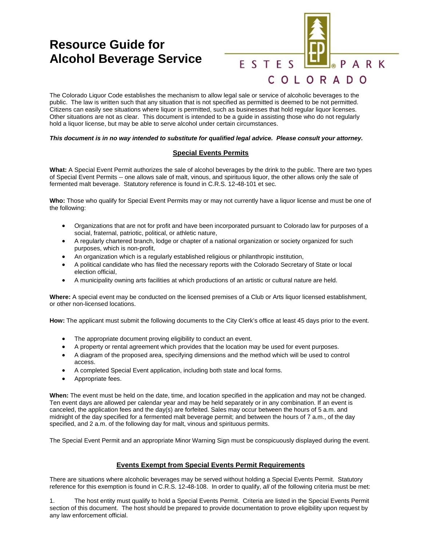# **Resource Guide for Alcohol Beverage Service**



The Colorado Liquor Code establishes the mechanism to allow legal sale or service of alcoholic beverages to the public. The law is written such that any situation that is not specified as permitted is deemed to be not permitted. Citizens can easily see situations where liquor is permitted, such as businesses that hold regular liquor licenses. Other situations are not as clear. This document is intended to be a guide in assisting those who do not regularly hold a liquor license, but may be able to serve alcohol under certain circumstances.

#### *This document is in no way intended to substitute for qualified legal advice. Please consult your attorney.*

## **Special Events Permits**

**What:** A Special Event Permit authorizes the sale of alcohol beverages by the drink to the public. There are two types of Special Event Permits -- one allows sale of malt, vinous, and spirituous liquor, the other allows only the sale of fermented malt beverage. Statutory reference is found in C.R.S. 12-48-101 et sec.

**Who:** Those who qualify for Special Event Permits may or may not currently have a liquor license and must be one of the following:

- Organizations that are not for profit and have been incorporated pursuant to Colorado law for purposes of a social, fraternal, patriotic, political, or athletic nature,
- A regularly chartered branch, lodge or chapter of a national organization or society organized for such purposes, which is non-profit,
- An organization which is a regularly established religious or philanthropic institution,
- A political candidate who has filed the necessary reports with the Colorado Secretary of State or local election official,
- A municipality owning arts facilities at which productions of an artistic or cultural nature are held.

**Where:** A special event may be conducted on the licensed premises of a Club or Arts liquor licensed establishment, or other non-licensed locations.

**How:** The applicant must submit the following documents to the City Clerk's office at least 45 days prior to the event.

- The appropriate document proving eligibility to conduct an event.
- A property or rental agreement which provides that the location may be used for event purposes.
- A diagram of the proposed area, specifying dimensions and the method which will be used to control access.
- A completed Special Event application, including both state and local forms.
- Appropriate fees.

**When:** The event must be held on the date, time, and location specified in the application and may not be changed. Ten event days are allowed per calendar year and may be held separately or in any combination. If an event is canceled, the application fees and the day(s) are forfeited. Sales may occur between the hours of 5 a.m. and midnight of the day specified for a fermented malt beverage permit; and between the hours of 7 a.m., of the day specified, and 2 a.m. of the following day for malt, vinous and spirituous permits.

The Special Event Permit and an appropriate Minor Warning Sign must be conspicuously displayed during the event.

### **Events Exempt from Special Events Permit Requirements**

There are situations where alcoholic beverages may be served without holding a Special Events Permit. Statutory reference for this exemption is found in C.R.S. 12-48-108. In order to qualify, *all* of the following criteria must be met:

The host entity must qualify to hold a Special Events Permit. Criteria are listed in the Special Events Permit section of this document. The host should be prepared to provide documentation to prove eligibility upon request by any law enforcement official.